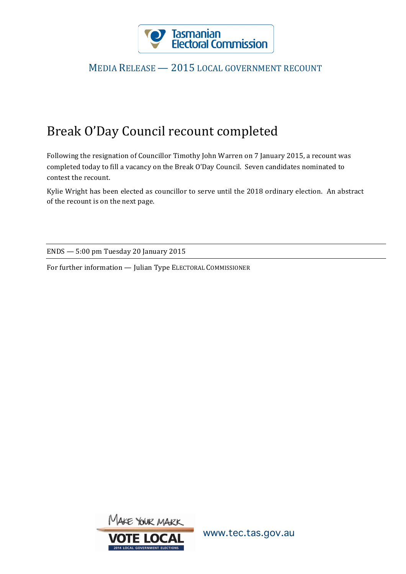

## MEDIA RELEASE - 2015 LOCAL GOVERNMENT RECOUNT

## Break O'Day Council recount completed

Following the resignation of Councillor Timothy John Warren on 7 January 2015, a recount was completed today to fill a vacancy on the Break O'Day Council. Seven candidates nominated to contest the recount.

Kylie Wright has been elected as councillor to serve until the 2018 ordinary election. An abstract of the recount is on the next page.

ENDS — 5:00 pm Tuesday 20 January 2015

For further information - Julian Type ELECTORAL COMMISSIONER



www.tec.tas.gov.au